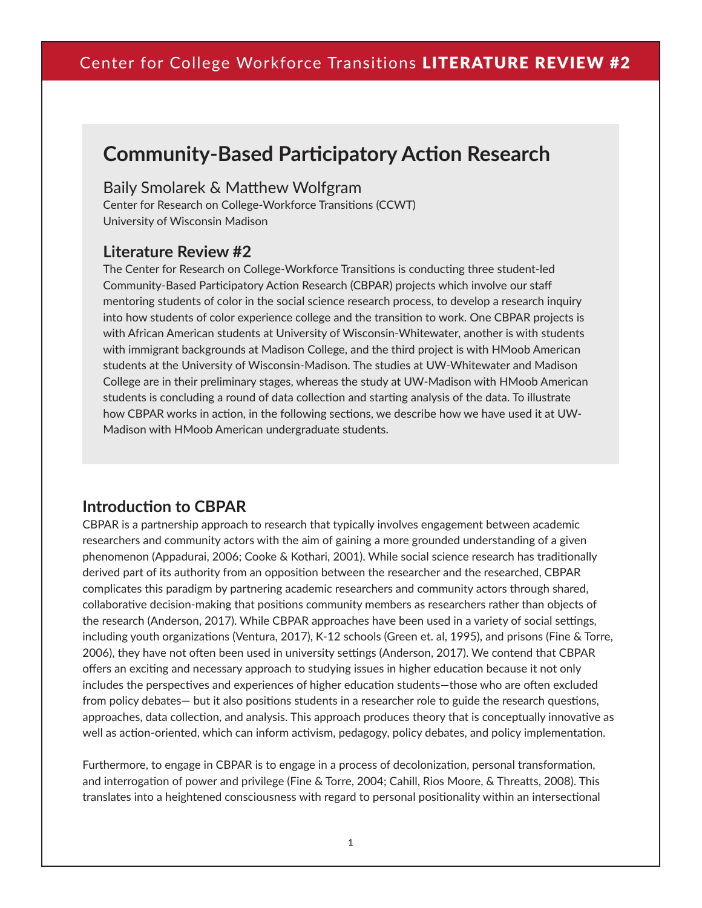# **Community-Based Participatory Action Research**

#### Baily Smolarek & Matthew Wolfgram

Center for Research on College-Workforce Transitions (CCWT) University of Wisconsin Madison

#### **Literature Review #2**

The Center for Research on College-Workforce Transitions is conducting three student-led Community-Based Participatory Action Research (CBPAR) projects which involve our staff mentoring students of color in the social science research process, to develop a research inquiry into how students of color experience college and the transition to work. One CBPAR projects is with African American students at University of Wisconsin-Whitewater, another is with students with immigrant backgrounds at Madison College, and the third project is with HMoob American students at the University of Wisconsin-Madison. The studies at UW-Whitewater and Madison College are in their preliminary stages, whereas the study at UW-Madison with HMoob American students is concluding a round of data collection and starting analysis of the data. To illustrate how CBPAR works in action, in the following sections, we describe how we have used it at UW-Madison with HMoob American undergraduate students.

### **Introduction to CBPAR**

CBPAR is a partnership approach to research that typically involves engagement between academic researchers and community actors with the aim of gaining a more grounded understanding of a given phenomenon (Appadurai, 2006; Cooke & Kothari, 2001). While social science research has traditionally derived part of its authority from an opposition between the researcher and the researched, CBPAR complicates this paradigm by partnering academic researchers and community actors through shared, collaborative decision-making that positions community members as researchers rather than objects of the research (Anderson, 2017). While CBPAR approaches have been used in a variety of social settings, including youth organizations (Ventura, 2017), K-12 schools (Green et. al, 1995), and prisons (Fine & Torre, 2006), they have not often been used in university settings (Anderson, 2017). We contend that CBPAR offers an exciting and necessary approach to studying issues in higher education because it not only includes the perspectives and experiences of higher education students—those who are often excluded from policy debates— but it also positions students in a researcher role to guide the research questions, approaches, data collection, and analysis. This approach produces theory that is conceptually innovative as well as action-oriented, which can inform activism, pedagogy, policy debates, and policy implementation.

Furthermore, to engage in CBPAR is to engage in a process of decolonization, personal transformation, and interrogation of power and privilege (Fine & Torre, 2004; Cahill, Rios Moore, & Threatts, 2008). This translates into a heightened consciousness with regard to personal positionality within an intersectional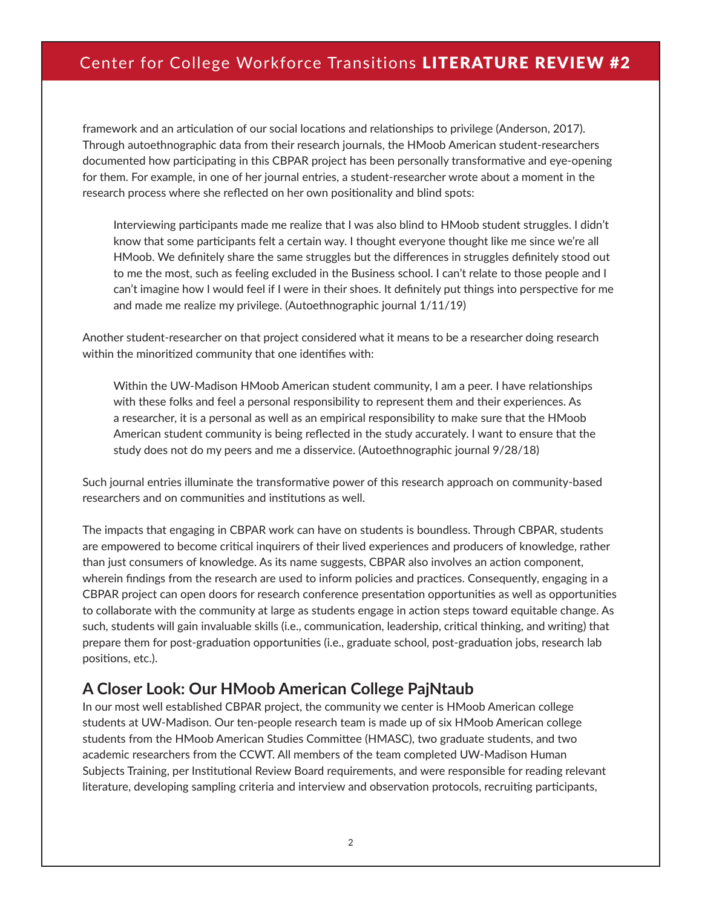## Center for College Workforce Transitions LITERATURE REVIEW #2

framework and an articulation of our social locations and relationships to privilege (Anderson, 2017). Through autoethnographic data from their research journals, the HMoob American student-researchers documented how participating in this CBPAR project has been personally transformative and eye-opening for them. For example, in one of her journal entries, a student-researcher wrote about a moment in the research process where she reflected on her own positionality and blind spots:

Interviewing participants made me realize that I was also blind to HMoob student struggles. I didn't know that some participants felt a certain way. I thought everyone thought like me since we're all HMoob. We definitely share the same struggles but the differences in struggles definitely stood out to me the most, such as feeling excluded in the Business school. I can't relate to those people and I can't imagine how I would feel if I were in their shoes. It definitely put things into perspective for me and made me realize my privilege. (Autoethnographic journal 1/11/19)

Another student-researcher on that project considered what it means to be a researcher doing research within the minoritized community that one identifies with:

Within the UW-Madison HMoob American student community, I am a peer. I have relationships with these folks and feel a personal responsibility to represent them and their experiences. As a researcher, it is a personal as well as an empirical responsibility to make sure that the HMoob American student community is being reflected in the study accurately. I want to ensure that the study does not do my peers and me a disservice. (Autoethnographic journal 9/28/18)

Such journal entries illuminate the transformative power of this research approach on community-based researchers and on communities and institutions as well.

The impacts that engaging in CBPAR work can have on students is boundless. Through CBPAR, students are empowered to become critical inquirers of their lived experiences and producers of knowledge, rather than just consumers of knowledge. As its name suggests, CBPAR also involves an action component, wherein findings from the research are used to inform policies and practices. Consequently, engaging in a CBPAR project can open doors for research conference presentation opportunities as well as opportunities to collaborate with the community at large as students engage in action steps toward equitable change. As such, students will gain invaluable skills (i.e., communication, leadership, critical thinking, and writing) that prepare them for post-graduation opportunities (i.e., graduate school, post-graduation jobs, research lab positions, etc.).

#### **A Closer Look: Our HMoob American College PajNtaub**

In our most well established CBPAR project, the community we center is HMoob American college students at UW-Madison. Our ten-people research team is made up of six HMoob American college students from the HMoob American Studies Committee (HMASC), two graduate students, and two academic researchers from the CCWT. All members of the team completed UW-Madison Human Subjects Training, per Institutional Review Board requirements, and were responsible for reading relevant literature, developing sampling criteria and interview and observation protocols, recruiting participants,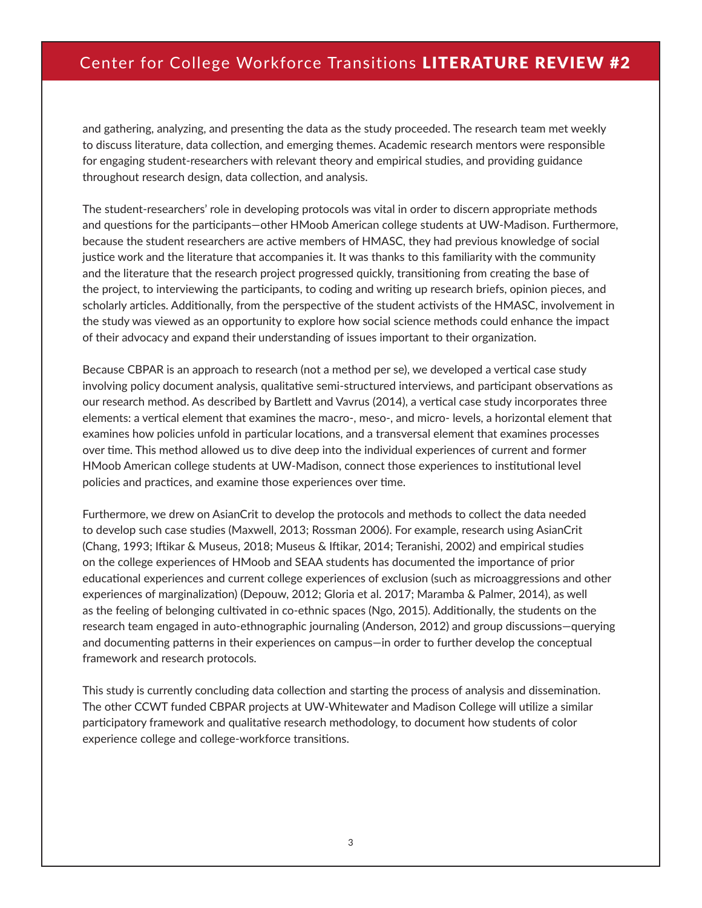### Center for College Workforce Transitions LITERATURE REVIEW #2

and gathering, analyzing, and presenting the data as the study proceeded. The research team met weekly to discuss literature, data collection, and emerging themes. Academic research mentors were responsible for engaging student-researchers with relevant theory and empirical studies, and providing guidance throughout research design, data collection, and analysis.

The student-researchers' role in developing protocols was vital in order to discern appropriate methods and questions for the participants—other HMoob American college students at UW-Madison. Furthermore, because the student researchers are active members of HMASC, they had previous knowledge of social justice work and the literature that accompanies it. It was thanks to this familiarity with the community and the literature that the research project progressed quickly, transitioning from creating the base of the project, to interviewing the participants, to coding and writing up research briefs, opinion pieces, and scholarly articles. Additionally, from the perspective of the student activists of the HMASC, involvement in the study was viewed as an opportunity to explore how social science methods could enhance the impact of their advocacy and expand their understanding of issues important to their organization.

Because CBPAR is an approach to research (not a method per se), we developed a vertical case study involving policy document analysis, qualitative semi-structured interviews, and participant observations as our research method. As described by Bartlett and Vavrus (2014), a vertical case study incorporates three elements: a vertical element that examines the macro-, meso-, and micro- levels, a horizontal element that examines how policies unfold in particular locations, and a transversal element that examines processes over time. This method allowed us to dive deep into the individual experiences of current and former HMoob American college students at UW-Madison, connect those experiences to institutional level policies and practices, and examine those experiences over time.

Furthermore, we drew on AsianCrit to develop the protocols and methods to collect the data needed to develop such case studies (Maxwell, 2013; Rossman 2006). For example, research using AsianCrit (Chang, 1993; Iftikar & Museus, 2018; Museus & Iftikar, 2014; Teranishi, 2002) and empirical studies on the college experiences of HMoob and SEAA students has documented the importance of prior educational experiences and current college experiences of exclusion (such as microaggressions and other experiences of marginalization) (Depouw, 2012; Gloria et al. 2017; Maramba & Palmer, 2014), as well as the feeling of belonging cultivated in co-ethnic spaces (Ngo, 2015). Additionally, the students on the research team engaged in auto-ethnographic journaling (Anderson, 2012) and group discussions—querying and documenting patterns in their experiences on campus—in order to further develop the conceptual framework and research protocols.

This study is currently concluding data collection and starting the process of analysis and dissemination. The other CCWT funded CBPAR projects at UW-Whitewater and Madison College will utilize a similar participatory framework and qualitative research methodology, to document how students of color experience college and college-workforce transitions.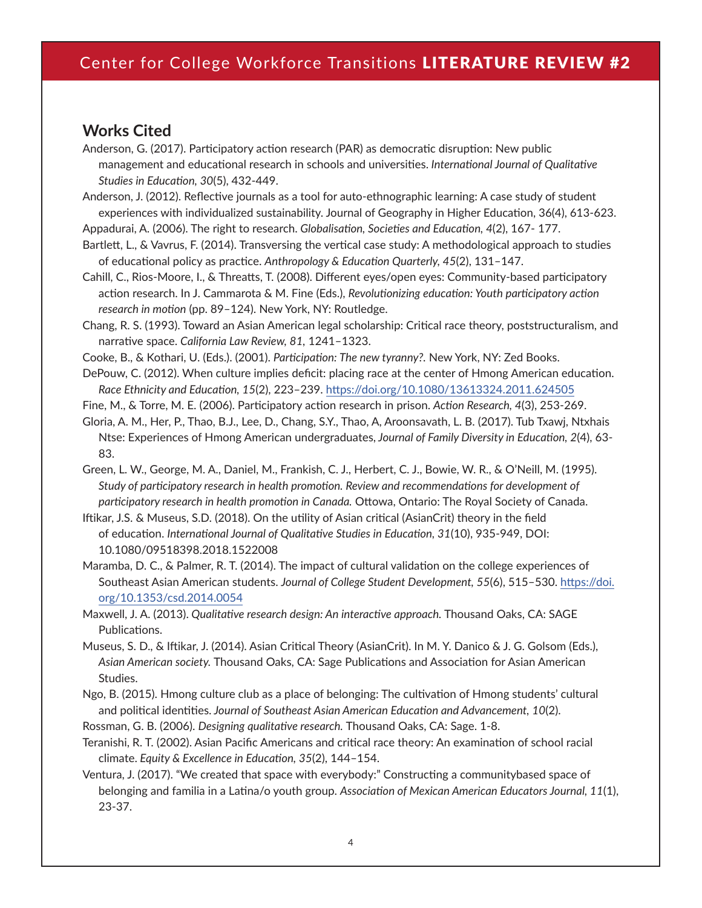### **Works Cited**

Anderson, G. (2017). Participatory action research (PAR) as democratic disruption: New public management and educational research in schools and universities. *International Journal of Qualitative Studies in Education, 30*(5), 432-449.

Anderson, J. (2012). Reflective journals as a tool for auto-ethnographic learning: A case study of student experiences with individualized sustainability. Journal of Geography in Higher Education, 36(4), 613-623.

Appadurai, A. (2006). The right to research. *Globalisation, Societies and Education, 4*(2), 167- 177.

Bartlett, L., & Vavrus, F. (2014). Transversing the vertical case study: A methodological approach to studies of educational policy as practice. *Anthropology & Education Quarterly, 45*(2), 131–147.

Cahill, C., Rios-Moore, I., & Threatts, T. (2008). Different eyes/open eyes: Community-based participatory action research. In J. Cammarota & M. Fine (Eds.), *Revolutionizing education: Youth participatory action research in motion* (pp. 89–124). New York, NY: Routledge.

Chang, R. S. (1993). Toward an Asian American legal scholarship: Critical race theory, poststructuralism, and narrative space. *California Law Review, 81,* 1241–1323.

Cooke, B., & Kothari, U. (Eds.). (2001). *Participation: The new tyranny?.* New York, NY: Zed Books.

DePouw, C. (2012). When culture implies deficit: placing race at the center of Hmong American education. *Race Ethnicity and Education, 15*(2), 223–239.<https://doi.org/10.1080/13613324.2011.624505>

Fine, M., & Torre, M. E. (2006). Participatory action research in prison. *Action Research, 4*(3), 253-269.

Gloria, A. M., Her, P., Thao, B.J., Lee, D., Chang, S.Y., Thao, A, Aroonsavath, L. B. (2017). Tub Txawj, Ntxhais Ntse: Experiences of Hmong American undergraduates, *Journal of Family Diversity in Education, 2*(4), 63- 83.

Green, L. W., George, M. A., Daniel, M., Frankish, C. J., Herbert, C. J., Bowie, W. R., & O'Neill, M. (1995). *Study of participatory research in health promotion. Review and recommendations for development of participatory research in health promotion in Canada.* Ottowa, Ontario: The Royal Society of Canada.

Iftikar, J.S. & Museus, S.D. (2018). On the utility of Asian critical (AsianCrit) theory in the field of education. *International Journal of Qualitative Studies in Education, 31*(10), 935-949, DOI: 10.1080/09518398.2018.1522008

Maramba, D. C., & Palmer, R. T. (2014). The impact of cultural validation on the college experiences of Southeast Asian American students. *Journal of College Student Development, 55*(6), 515–530. [https://doi.](https://doi.org/10.1353/csd.2014.0054) [org/10.1353/csd.2014.0054](https://doi.org/10.1353/csd.2014.0054)

Maxwell, J. A. (2013). *Qualitative research design: An interactive approach.* Thousand Oaks, CA: SAGE Publications.

Museus, S. D., & Iftikar, J. (2014). Asian Critical Theory (AsianCrit). In M. Y. Danico & J. G. Golsom (Eds.), *Asian American society.* Thousand Oaks, CA: Sage Publications and Association for Asian American Studies.

Ngo, B. (2015). Hmong culture club as a place of belonging: The cultivation of Hmong students' cultural and political identities. *Journal of Southeast Asian American Education and Advancement, 10*(2).

Rossman, G. B. (2006). *Designing qualitative research.* Thousand Oaks, CA: Sage. 1-8.

Teranishi, R. T. (2002). Asian Pacific Americans and critical race theory: An examination of school racial climate. *Equity & Excellence in Education, 35*(2), 144–154.

Ventura, J. (2017). "We created that space with everybody:" Constructing a communitybased space of belonging and familia in a Latina/o youth group. *Association of Mexican American Educators Journal, 11*(1), 23-37.